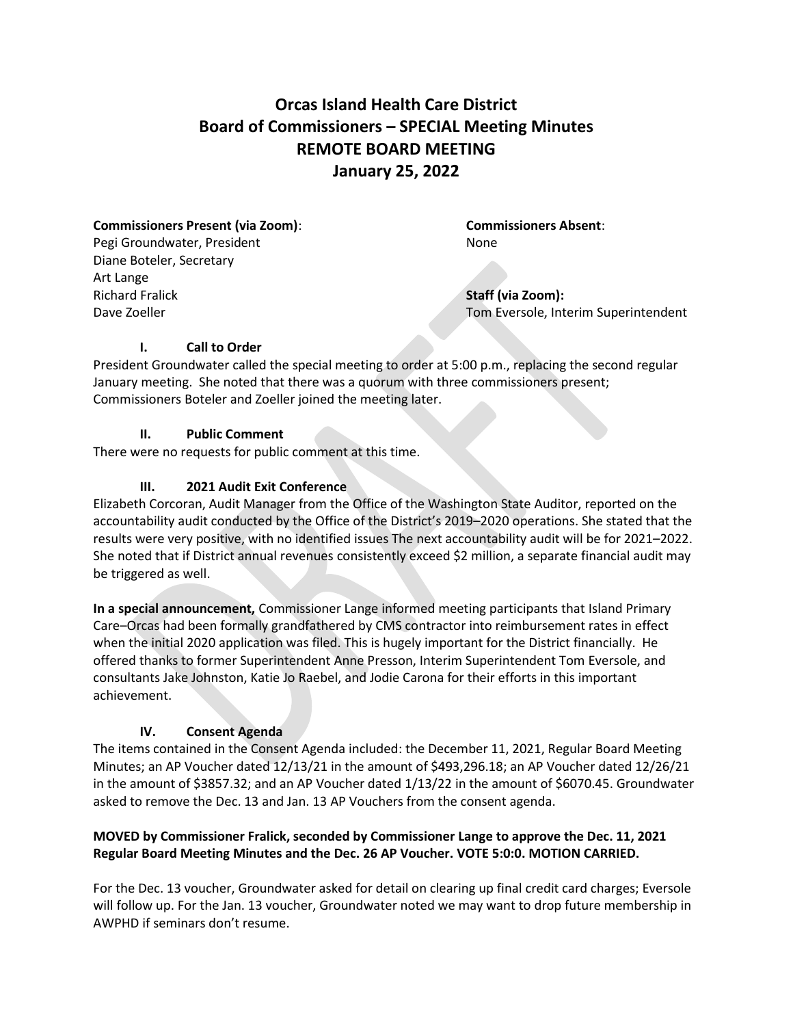# **Orcas Island Health Care District Board of Commissioners – SPECIAL Meeting Minutes REMOTE BOARD MEETING January 25, 2022**

#### **Commissioners Present (via Zoom)**: **Commissioners Absent**:

Pegi Groundwater, President None Diane Boteler, Secretary Art Lange Richard Fralick **Staff (via Zoom):**

Dave Zoeller Tom Eversole, Interim Superintendent

# **I. Call to Order**

President Groundwater called the special meeting to order at 5:00 p.m., replacing the second regular January meeting. She noted that there was a quorum with three commissioners present; Commissioners Boteler and Zoeller joined the meeting later.

# **II. Public Comment**

There were no requests for public comment at this time.

# **III. 2021 Audit Exit Conference**

Elizabeth Corcoran, Audit Manager from the Office of the Washington State Auditor, reported on the accountability audit conducted by the Office of the District's 2019–2020 operations. She stated that the results were very positive, with no identified issues The next accountability audit will be for 2021–2022. She noted that if District annual revenues consistently exceed \$2 million, a separate financial audit may be triggered as well.

**In a special announcement,** Commissioner Lange informed meeting participants that Island Primary Care–Orcas had been formally grandfathered by CMS contractor into reimbursement rates in effect when the initial 2020 application was filed. This is hugely important for the District financially. He offered thanks to former Superintendent Anne Presson, Interim Superintendent Tom Eversole, and consultants Jake Johnston, Katie Jo Raebel, and Jodie Carona for their efforts in this important achievement.

# **IV. Consent Agenda**

The items contained in the Consent Agenda included: the December 11, 2021, Regular Board Meeting Minutes; an AP Voucher dated 12/13/21 in the amount of \$493,296.18; an AP Voucher dated 12/26/21 in the amount of \$3857.32; and an AP Voucher dated 1/13/22 in the amount of \$6070.45. Groundwater asked to remove the Dec. 13 and Jan. 13 AP Vouchers from the consent agenda.

# **MOVED by Commissioner Fralick, seconded by Commissioner Lange to approve the Dec. 11, 2021 Regular Board Meeting Minutes and the Dec. 26 AP Voucher. VOTE 5:0:0. MOTION CARRIED.**

For the Dec. 13 voucher, Groundwater asked for detail on clearing up final credit card charges; Eversole will follow up. For the Jan. 13 voucher, Groundwater noted we may want to drop future membership in AWPHD if seminars don't resume.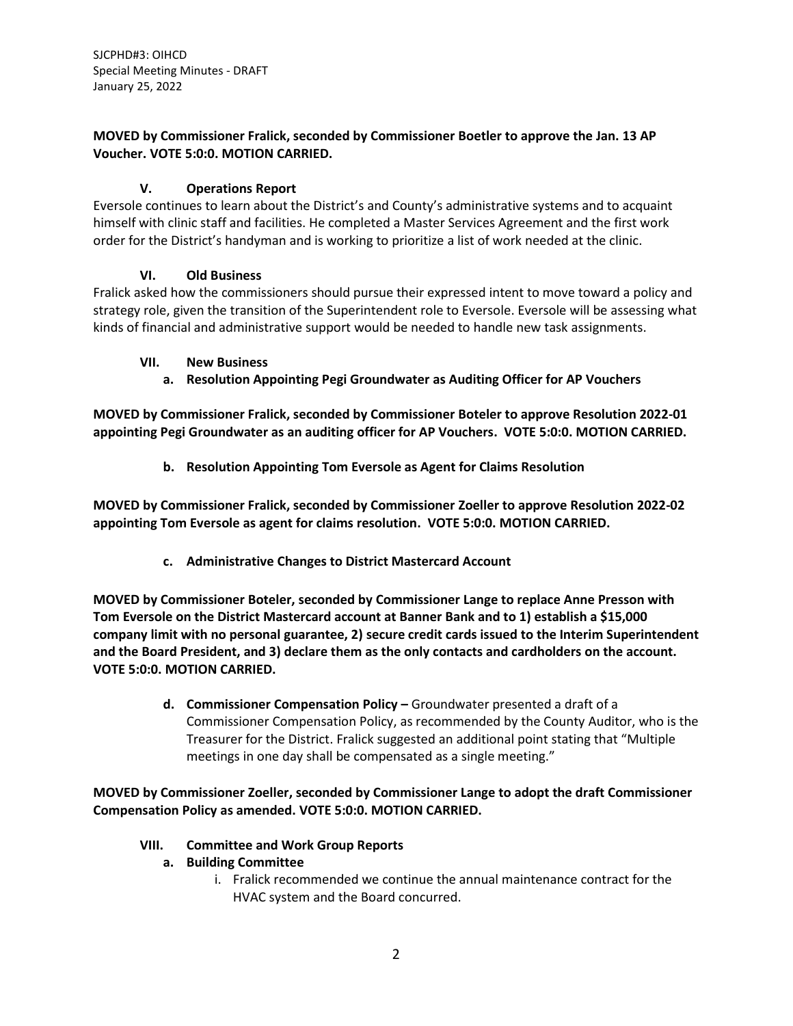SJCPHD#3: OIHCD Special Meeting Minutes - DRAFT January 25, 2022

#### **MOVED by Commissioner Fralick, seconded by Commissioner Boetler to approve the Jan. 13 AP Voucher. VOTE 5:0:0. MOTION CARRIED.**

# **V. Operations Report**

Eversole continues to learn about the District's and County's administrative systems and to acquaint himself with clinic staff and facilities. He completed a Master Services Agreement and the first work order for the District's handyman and is working to prioritize a list of work needed at the clinic.

# **VI. Old Business**

Fralick asked how the commissioners should pursue their expressed intent to move toward a policy and strategy role, given the transition of the Superintendent role to Eversole. Eversole will be assessing what kinds of financial and administrative support would be needed to handle new task assignments.

#### **VII. New Business**

**a. Resolution Appointing Pegi Groundwater as Auditing Officer for AP Vouchers**

**MOVED by Commissioner Fralick, seconded by Commissioner Boteler to approve Resolution 2022-01 appointing Pegi Groundwater as an auditing officer for AP Vouchers. VOTE 5:0:0. MOTION CARRIED.**

**b. Resolution Appointing Tom Eversole as Agent for Claims Resolution**

**MOVED by Commissioner Fralick, seconded by Commissioner Zoeller to approve Resolution 2022-02 appointing Tom Eversole as agent for claims resolution. VOTE 5:0:0. MOTION CARRIED.**

**c. Administrative Changes to District Mastercard Account**

**MOVED by Commissioner Boteler, seconded by Commissioner Lange to replace Anne Presson with Tom Eversole on the District Mastercard account at Banner Bank and to 1) establish a \$15,000 company limit with no personal guarantee, 2) secure credit cards issued to the Interim Superintendent and the Board President, and 3) declare them as the only contacts and cardholders on the account. VOTE 5:0:0. MOTION CARRIED.**

> **d. Commissioner Compensation Policy –** Groundwater presented a draft of a Commissioner Compensation Policy, as recommended by the County Auditor, who is the Treasurer for the District. Fralick suggested an additional point stating that "Multiple meetings in one day shall be compensated as a single meeting."

**MOVED by Commissioner Zoeller, seconded by Commissioner Lange to adopt the draft Commissioner Compensation Policy as amended. VOTE 5:0:0. MOTION CARRIED.**

# **VIII. Committee and Work Group Reports**

- **a. Building Committee**
	- i. Fralick recommended we continue the annual maintenance contract for the HVAC system and the Board concurred.